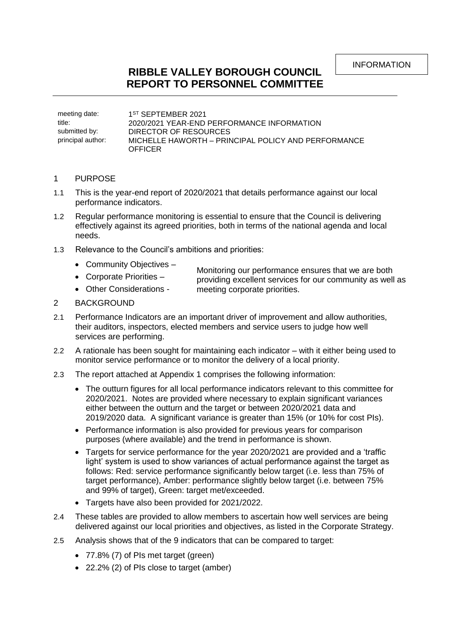INFORMATION

## **RIBBLE VALLEY BOROUGH COUNCIL REPORT TO PERSONNEL COMMITTEE**

meeting date: 1 1<sup>ST</sup> SEPTEMBER 2021 title: 2020/2021 YEAR-END PERFORMANCE INFORMATION submitted by: DIRECTOR OF RESOURCES principal author: MICHELLE HAWORTH – PRINCIPAL POLICY AND PERFORMANCE **OFFICER** 

## 1 PURPOSE

- 1.1 This is the year-end report of 2020/2021 that details performance against our local performance indicators.
- 1.2 Regular performance monitoring is essential to ensure that the Council is delivering effectively against its agreed priorities, both in terms of the national agenda and local needs.
- 1.3 Relevance to the Council's ambitions and priorities:
	- Community Objectives -
	- Corporate Priorities -
	- Other Considerations -
- Monitoring our performance ensures that we are both providing excellent services for our community as well as meeting corporate priorities.
- 2 BACKGROUND
- 2.1 Performance Indicators are an important driver of improvement and allow authorities, their auditors, inspectors, elected members and service users to judge how well services are performing.
- 2.2 A rationale has been sought for maintaining each indicator with it either being used to monitor service performance or to monitor the delivery of a local priority.
- 2.3 The report attached at Appendix 1 comprises the following information:
	- The outturn figures for all local performance indicators relevant to this committee for 2020/2021. Notes are provided where necessary to explain significant variances either between the outturn and the target or between 2020/2021 data and 2019/2020 data. A significant variance is greater than 15% (or 10% for cost PIs).
	- Performance information is also provided for previous vears for comparison purposes (where available) and the trend in performance is shown.
	- Targets for service performance for the year 2020/2021 are provided and a 'traffic light' system is used to show variances of actual performance against the target as follows: Red: service performance significantly below target (i.e. less than 75% of target performance), Amber: performance slightly below target (i.e. between 75% and 99% of target), Green: target met/exceeded.
	- Targets have also been provided for 2021/2022.
- 2.4 These tables are provided to allow members to ascertain how well services are being delivered against our local priorities and objectives, as listed in the Corporate Strategy.
- 2.5 Analysis shows that of the 9 indicators that can be compared to target:
	- 77.8% (7) of PIs met target (green)
	- 22.2% (2) of PIs close to target (amber)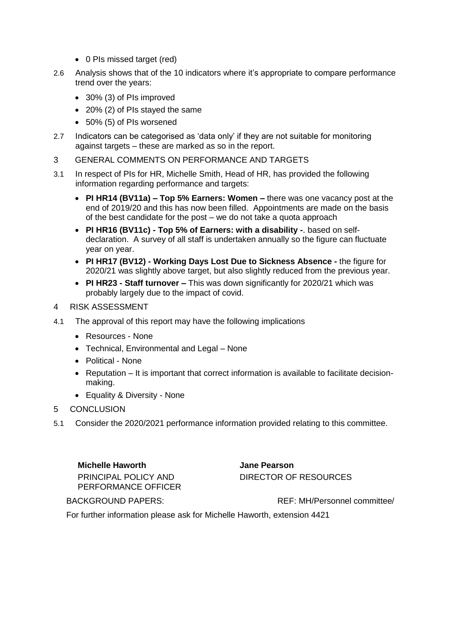- 0 PIs missed target (red)
- 2.6 Analysis shows that of the 10 indicators where it's appropriate to compare performance trend over the years:
	- 30% (3) of PIs improved
	- 20% (2) of PIs stayed the same
	- 50% (5) of PIs worsened
- 2.7 Indicators can be categorised as 'data only' if they are not suitable for monitoring against targets – these are marked as so in the report.
- 3 GENERAL COMMENTS ON PERFORMANCE AND TARGETS
- 3.1 In respect of PIs for HR, Michelle Smith, Head of HR, has provided the following information regarding performance and targets:
	- **PI HR14 (BV11a) – Top 5% Earners: Women –** there was one vacancy post at the end of 2019/20 and this has now been filled. Appointments are made on the basis of the best candidate for the post – we do not take a quota approach
	- **PI HR16 (BV11c) - Top 5% of Earners: with a disability -**. based on selfdeclaration. A survey of all staff is undertaken annually so the figure can fluctuate year on year.
	- **PI HR17 (BV12) - Working Days Lost Due to Sickness Absence -** the figure for 2020/21 was slightly above target, but also slightly reduced from the previous year.
	- **PI HR23 - Staff turnover –** This was down significantly for 2020/21 which was probably largely due to the impact of covid.
- 4 RISK ASSESSMENT
- 4.1 The approval of this report may have the following implications
	- Resources None
	- Technical, Environmental and Legal None
	- Political None
	- Reputation It is important that correct information is available to facilitate decisionmaking.
	- Equality & Diversity None
- 5 CONCLUSION
- 5.1 Consider the 2020/2021 performance information provided relating to this committee.

**Michelle Haworth Jane Pearson** PRINCIPAL POLICY AND PERFORMANCE OFFICER

DIRECTOR OF RESOURCES

BACKGROUND PAPERS: REF: MH/Personnel committee/

For further information please ask for Michelle Haworth, extension 4421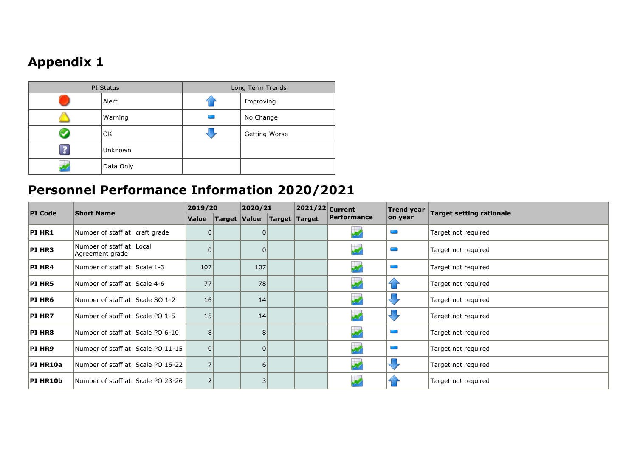## **Appendix 1**

|    | PI Status | Long Term Trends |               |  |  |
|----|-----------|------------------|---------------|--|--|
|    | Alert     |                  | Improving     |  |  |
|    | Warning   |                  | No Change     |  |  |
|    | <b>OK</b> |                  | Getting Worse |  |  |
| -5 | Unknown   |                  |               |  |  |
|    | Data Only |                  |               |  |  |

## **Personnel Performance Information 2020/2021**

| <b>PI</b> Code | <b>Short Name</b>                            | 2019/20        |              | 2020/21        |               | 2021/22 Current            | <b>Trend year</b>                 | <b>Target setting rationale</b> |
|----------------|----------------------------------------------|----------------|--------------|----------------|---------------|----------------------------|-----------------------------------|---------------------------------|
|                |                                              | Value          | Target Value |                | Target Target | <b>Performance</b>         | on year                           |                                 |
| PI HR1         | Number of staff at: craft grade              | 0              |              | 0              |               |                            | $\sim$ $\sim$                     | Target not required             |
| <b>PI HR3</b>  | Number of staff at: Local<br>Agreement grade | 0              |              | 0              |               | 27                         | <b>Contract Contract Contract</b> | Target not required             |
| PI HR4         | Number of staff at: Scale 1-3                | 107            |              | 107            |               | $\boldsymbol{\mathcal{F}}$ | المتعالي                          | Target not required             |
| PI HR5         | Number of staff at: Scale 4-6                | 77             |              | 78             |               | $\overline{\mathscr{L}}$   | 4.                                | Target not required             |
| <b>PI HR6</b>  | Number of staff at: Scale SO 1-2             | 16             |              | 14             |               | 27                         |                                   | Target not required             |
| <b>PI HR7</b>  | Number of staff at: Scale PO 1-5             | 15             |              | 14             |               | $\mathcal{F}'$             |                                   | Target not required             |
| <b>PI HR8</b>  | Number of staff at: Scale PO 6-10            | 8              |              | 8 <sup>1</sup> |               | $\boldsymbol{r}$           |                                   | Target not required             |
| PI HR9         | Number of staff at: Scale PO 11-15           | $\overline{0}$ |              | 0              |               | $\mathbf{v}$               |                                   | Target not required             |
| PI HR10a       | Number of staff at: Scale PO 16-22           |                |              | 6              |               | 27                         |                                   | Target not required             |
| PI HR10b       | Number of staff at: Scale PO 23-26           |                |              | 3              |               |                            |                                   | Target not required             |